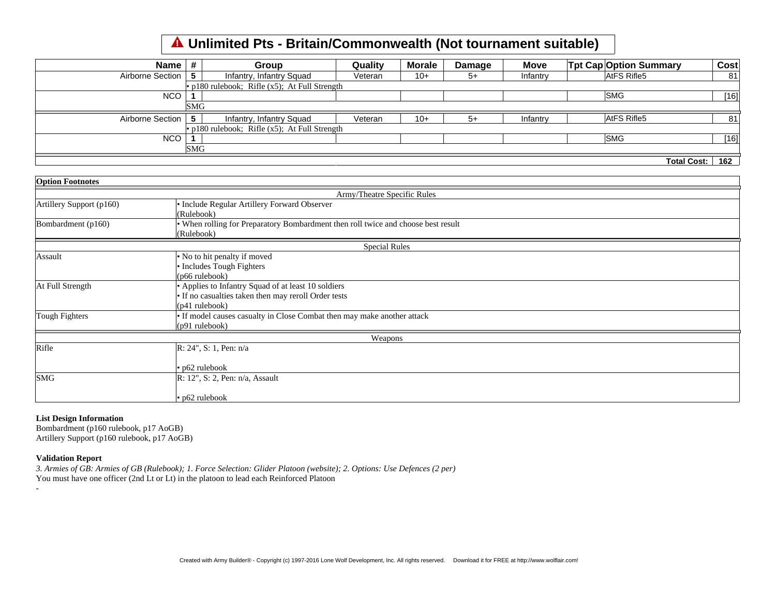## **Unlimited Pts - Britain/Commonwealth (Not tournament suitable)**

| Name ⊧           |            | Group                                            | Quality | <b>Morale</b> | Damage | <b>Move</b> | <b>Tpt Cap Option Summary</b> |             | Cost   |
|------------------|------------|--------------------------------------------------|---------|---------------|--------|-------------|-------------------------------|-------------|--------|
| Airborne Section | 5          | Infantry, Infantry Squad                         | Veteran | $10+$         | $5+$   | Infantry    | AtFS Rifle5                   |             | 81     |
|                  |            | • p180 rulebook; Rifle $(x5)$ ; At Full Strength |         |               |        |             |                               |             |        |
| <b>NCO</b>       |            |                                                  |         |               |        |             | <b>SMG</b>                    |             | $[16]$ |
|                  | <b>SMG</b> |                                                  |         |               |        |             |                               |             |        |
| Airborne Section | 5          | Infantry, Infantry Squad                         | Veteran | $10+$         | $5+$   | Infantry    | AtFS Rifle5                   |             | 81     |
|                  |            | • p180 rulebook; Rifle $(x5)$ ; At Full Strength |         |               |        |             |                               |             |        |
| <b>NCO</b>       |            |                                                  |         |               |        |             | <b>SMG</b>                    |             | [16]   |
|                  | <b>SMG</b> |                                                  |         |               |        |             |                               |             |        |
|                  |            |                                                  |         |               |        |             |                               | Total Cost: | 162    |

| <b>Option Footnotes</b>  |                                                                                   |
|--------------------------|-----------------------------------------------------------------------------------|
|                          | Army/Theatre Specific Rules                                                       |
| Artillery Support (p160) | • Include Regular Artillery Forward Observer                                      |
|                          | (Rulebook)                                                                        |
| Bombardment $(p160)$     | • When rolling for Preparatory Bombardment then roll twice and choose best result |
|                          | (Rulebook)                                                                        |
|                          | <b>Special Rules</b>                                                              |
| Assault                  | • No to hit penalty if moved                                                      |
|                          | • Includes Tough Fighters                                                         |
|                          | $(p66 \text{ rulebook})$                                                          |
| At Full Strength         | • Applies to Infantry Squad of at least 10 soldiers                               |
|                          | • If no casualties taken then may reroll Order tests                              |
|                          | $(p41 \text{ rulebook})$                                                          |
| Tough Fighters           | • If model causes casualty in Close Combat then may make another attack           |
|                          | $(p91 \text{ rulebook})$                                                          |
|                          | Weapons                                                                           |
| Rifle                    | $R: 24$ ", S: 1, Pen: n/a                                                         |
|                          | $\cdot$ p62 rulebook                                                              |
| <b>SMG</b>               | $ R: 12$ ", S: 2, Pen: n/a, Assault                                               |
|                          | $\cdot$ p62 rulebook                                                              |

## **List Design Information**

Bombardment (p160 rulebook, p17 AoGB) Artillery Support (p160 rulebook, p17 AoGB)

## **Validation Report**

-

*3. Armies of GB: Armies of GB (Rulebook); 1. Force Selection: Glider Platoon (website); 2. Options: Use Defences (2 per)* You must have one officer (2nd Lt or Lt) in the platoon to lead each Reinforced Platoon